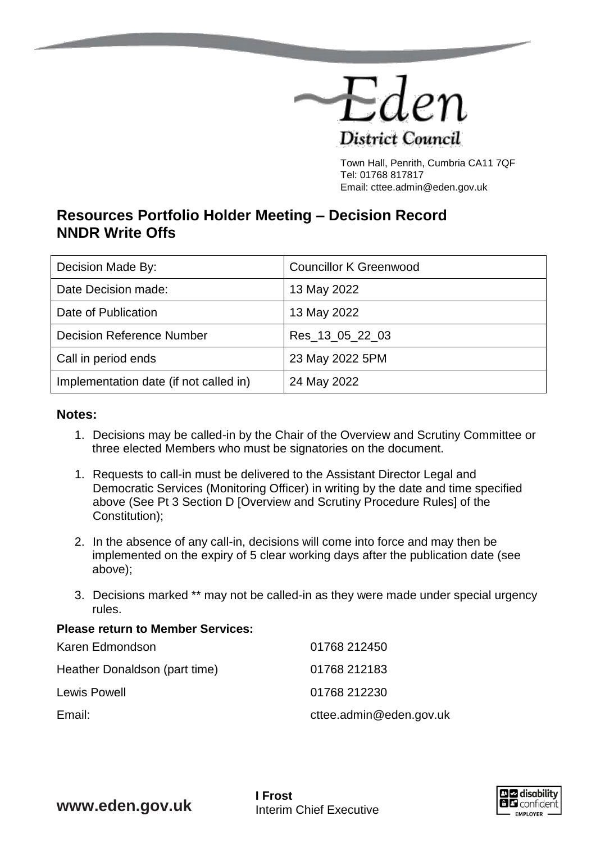

Town Hall, Penrith, Cumbria CA11 7QF Tel: 01768 817817 Email: cttee.admin@eden.gov.uk

# **Resources Portfolio Holder Meeting – Decision Record NNDR Write Offs**

| Decision Made By:                      | <b>Councillor K Greenwood</b> |
|----------------------------------------|-------------------------------|
| Date Decision made:                    | 13 May 2022                   |
| Date of Publication                    | 13 May 2022                   |
| <b>Decision Reference Number</b>       | Res_13_05_22_03               |
| Call in period ends                    | 23 May 2022 5PM               |
| Implementation date (if not called in) | 24 May 2022                   |

## **Notes:**

- 1. Decisions may be called-in by the Chair of the Overview and Scrutiny Committee or three elected Members who must be signatories on the document.
- 1. Requests to call-in must be delivered to the Assistant Director Legal and Democratic Services (Monitoring Officer) in writing by the date and time specified above (See Pt 3 Section D [Overview and Scrutiny Procedure Rules] of the Constitution);
- 2. In the absence of any call-in, decisions will come into force and may then be implemented on the expiry of 5 clear working days after the publication date (see above);
- 3. Decisions marked \*\* may not be called-in as they were made under special urgency rules.

#### **Please return to Member Services:**

| Karen Edmondson               | 01768 212450            |
|-------------------------------|-------------------------|
| Heather Donaldson (part time) | 01768 212183            |
| <b>Lewis Powell</b>           | 01768 212230            |
| Email:                        | cttee.admin@eden.gov.uk |